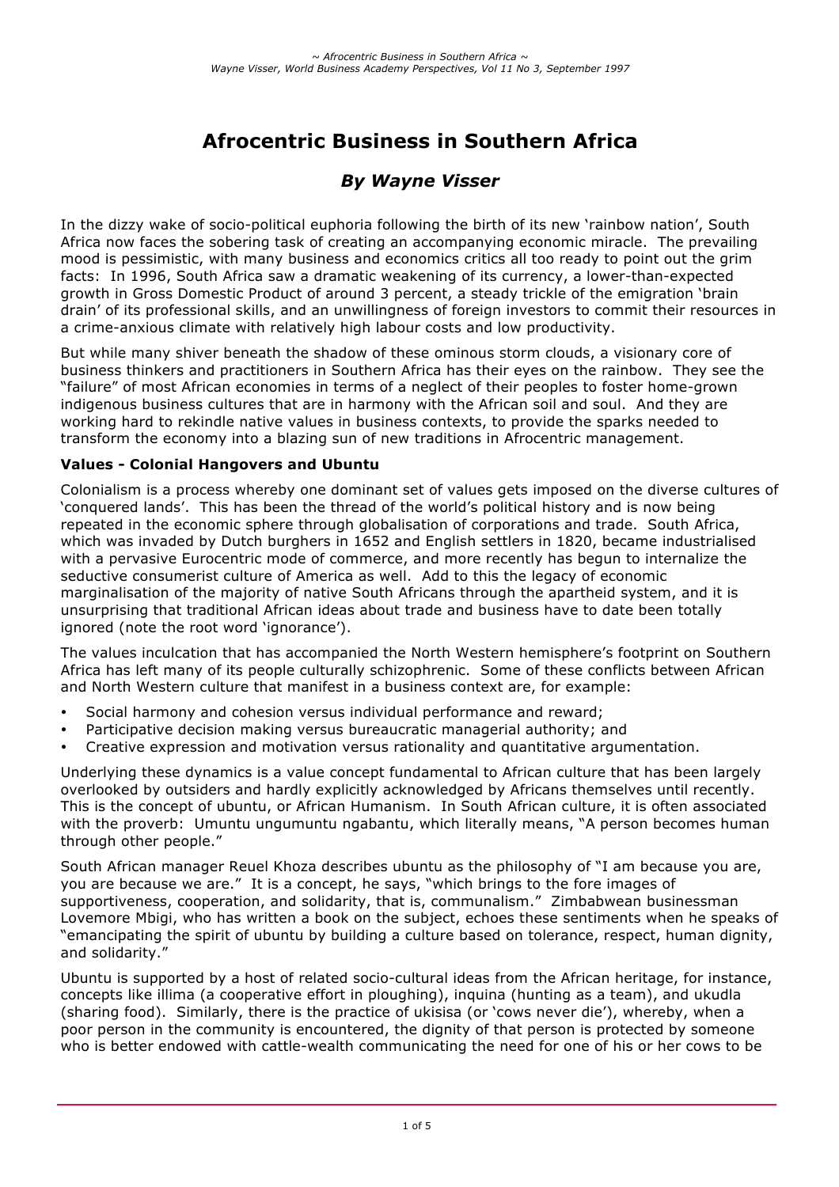# **Afrocentric Business in Southern Africa**

# *By Wayne Visser*

In the dizzy wake of socio-political euphoria following the birth of its new 'rainbow nation', South Africa now faces the sobering task of creating an accompanying economic miracle. The prevailing mood is pessimistic, with many business and economics critics all too ready to point out the grim facts: In 1996, South Africa saw a dramatic weakening of its currency, a lower-than-expected growth in Gross Domestic Product of around 3 percent, a steady trickle of the emigration 'brain drain' of its professional skills, and an unwillingness of foreign investors to commit their resources in a crime-anxious climate with relatively high labour costs and low productivity.

But while many shiver beneath the shadow of these ominous storm clouds, a visionary core of business thinkers and practitioners in Southern Africa has their eyes on the rainbow. They see the "failure" of most African economies in terms of a neglect of their peoples to foster home-grown indigenous business cultures that are in harmony with the African soil and soul. And they are working hard to rekindle native values in business contexts, to provide the sparks needed to transform the economy into a blazing sun of new traditions in Afrocentric management.

### **Values - Colonial Hangovers and Ubuntu**

Colonialism is a process whereby one dominant set of values gets imposed on the diverse cultures of 'conquered lands'. This has been the thread of the world's political history and is now being repeated in the economic sphere through globalisation of corporations and trade. South Africa, which was invaded by Dutch burghers in 1652 and English settlers in 1820, became industrialised with a pervasive Eurocentric mode of commerce, and more recently has begun to internalize the seductive consumerist culture of America as well. Add to this the legacy of economic marginalisation of the majority of native South Africans through the apartheid system, and it is unsurprising that traditional African ideas about trade and business have to date been totally ignored (note the root word 'ignorance').

The values inculcation that has accompanied the North Western hemisphere's footprint on Southern Africa has left many of its people culturally schizophrenic. Some of these conflicts between African and North Western culture that manifest in a business context are, for example:

- Social harmony and cohesion versus individual performance and reward;
- Participative decision making versus bureaucratic managerial authority; and
- Creative expression and motivation versus rationality and quantitative argumentation.

Underlying these dynamics is a value concept fundamental to African culture that has been largely overlooked by outsiders and hardly explicitly acknowledged by Africans themselves until recently. This is the concept of ubuntu, or African Humanism. In South African culture, it is often associated with the proverb: Umuntu ungumuntu ngabantu, which literally means, "A person becomes human through other people."

South African manager Reuel Khoza describes ubuntu as the philosophy of "I am because you are, you are because we are." It is a concept, he says, "which brings to the fore images of supportiveness, cooperation, and solidarity, that is, communalism." Zimbabwean businessman Lovemore Mbigi, who has written a book on the subject, echoes these sentiments when he speaks of "emancipating the spirit of ubuntu by building a culture based on tolerance, respect, human dignity, and solidarity."

Ubuntu is supported by a host of related socio-cultural ideas from the African heritage, for instance, concepts like illima (a cooperative effort in ploughing), inquina (hunting as a team), and ukudla (sharing food). Similarly, there is the practice of ukisisa (or 'cows never die'), whereby, when a poor person in the community is encountered, the dignity of that person is protected by someone who is better endowed with cattle-wealth communicating the need for one of his or her cows to be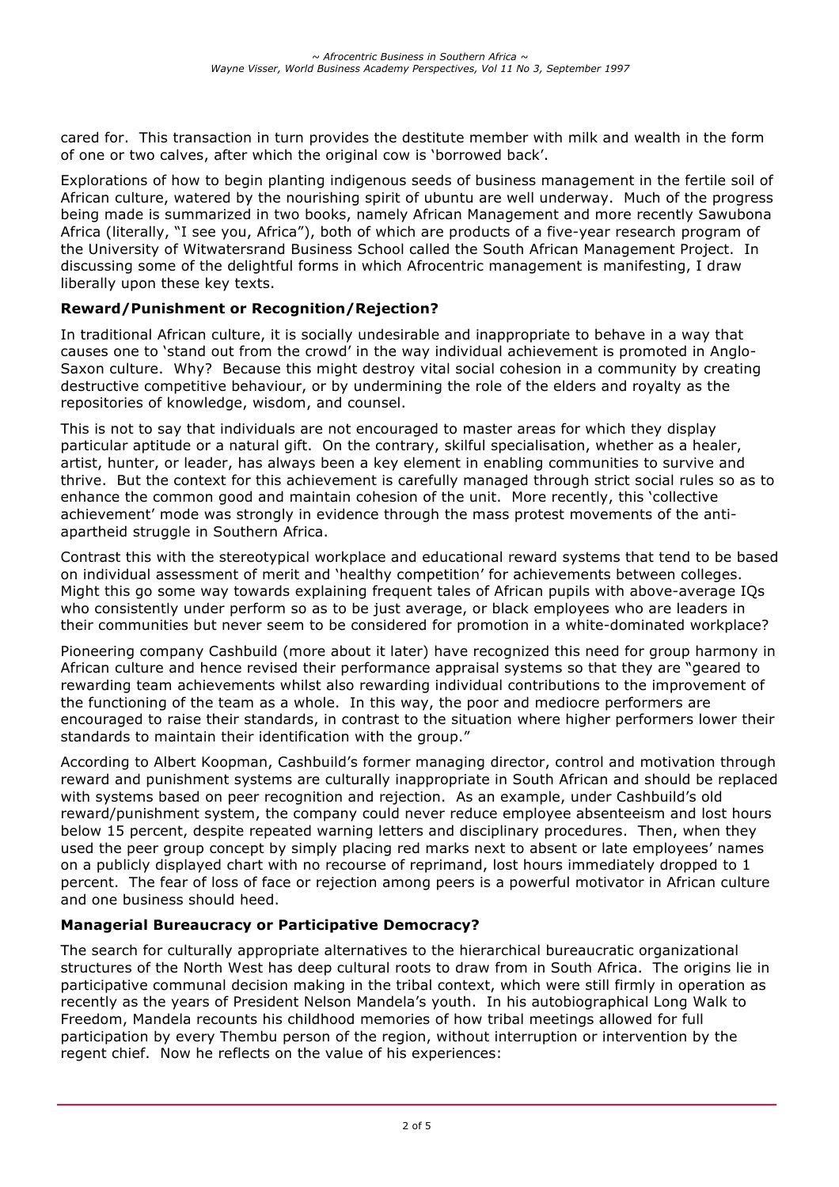cared for. This transaction in turn provides the destitute member with milk and wealth in the form of one or two calves, after which the original cow is 'borrowed back'.

Explorations of how to begin planting indigenous seeds of business management in the fertile soil of African culture, watered by the nourishing spirit of ubuntu are well underway. Much of the progress being made is summarized in two books, namely African Management and more recently Sawubona Africa (literally, "I see you, Africa"), both of which are products of a five-year research program of the University of Witwatersrand Business School called the South African Management Project. In discussing some of the delightful forms in which Afrocentric management is manifesting, I draw liberally upon these key texts.

## **Reward/Punishment or Recognition/Rejection?**

In traditional African culture, it is socially undesirable and inappropriate to behave in a way that causes one to 'stand out from the crowd' in the way individual achievement is promoted in Anglo-Saxon culture. Why? Because this might destroy vital social cohesion in a community by creating destructive competitive behaviour, or by undermining the role of the elders and royalty as the repositories of knowledge, wisdom, and counsel.

This is not to say that individuals are not encouraged to master areas for which they display particular aptitude or a natural gift. On the contrary, skilful specialisation, whether as a healer, artist, hunter, or leader, has always been a key element in enabling communities to survive and thrive. But the context for this achievement is carefully managed through strict social rules so as to enhance the common good and maintain cohesion of the unit. More recently, this 'collective achievement' mode was strongly in evidence through the mass protest movements of the antiapartheid struggle in Southern Africa.

Contrast this with the stereotypical workplace and educational reward systems that tend to be based on individual assessment of merit and 'healthy competition' for achievements between colleges. Might this go some way towards explaining frequent tales of African pupils with above-average IQs who consistently under perform so as to be just average, or black employees who are leaders in their communities but never seem to be considered for promotion in a white-dominated workplace?

Pioneering company Cashbuild (more about it later) have recognized this need for group harmony in African culture and hence revised their performance appraisal systems so that they are "geared to rewarding team achievements whilst also rewarding individual contributions to the improvement of the functioning of the team as a whole. In this way, the poor and mediocre performers are encouraged to raise their standards, in contrast to the situation where higher performers lower their standards to maintain their identification with the group."

According to Albert Koopman, Cashbuild's former managing director, control and motivation through reward and punishment systems are culturally inappropriate in South African and should be replaced with systems based on peer recognition and rejection. As an example, under Cashbuild's old reward/punishment system, the company could never reduce employee absenteeism and lost hours below 15 percent, despite repeated warning letters and disciplinary procedures. Then, when they used the peer group concept by simply placing red marks next to absent or late employees' names on a publicly displayed chart with no recourse of reprimand, lost hours immediately dropped to 1 percent. The fear of loss of face or rejection among peers is a powerful motivator in African culture and one business should heed.

## **Managerial Bureaucracy or Participative Democracy?**

The search for culturally appropriate alternatives to the hierarchical bureaucratic organizational structures of the North West has deep cultural roots to draw from in South Africa. The origins lie in participative communal decision making in the tribal context, which were still firmly in operation as recently as the years of President Nelson Mandela's youth. In his autobiographical Long Walk to Freedom, Mandela recounts his childhood memories of how tribal meetings allowed for full participation by every Thembu person of the region, without interruption or intervention by the regent chief. Now he reflects on the value of his experiences: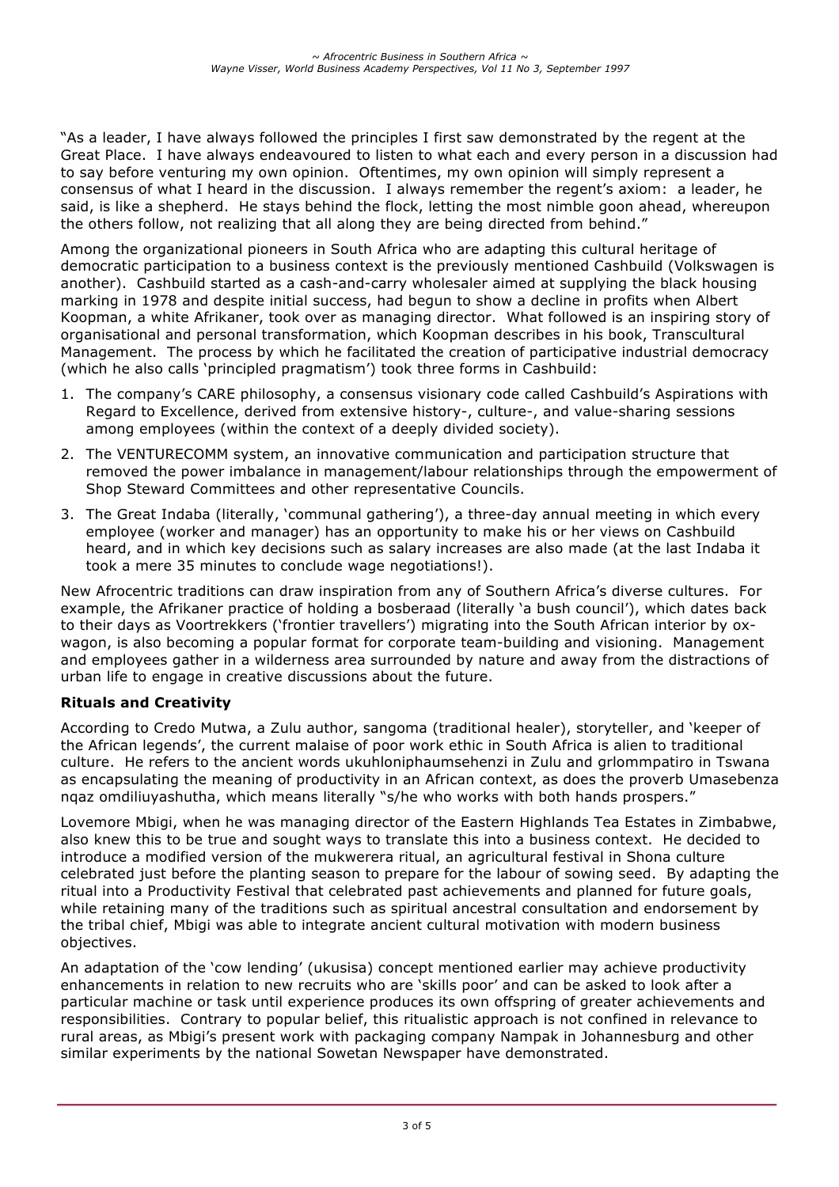"As a leader, I have always followed the principles I first saw demonstrated by the regent at the Great Place. I have always endeavoured to listen to what each and every person in a discussion had to say before venturing my own opinion. Oftentimes, my own opinion will simply represent a consensus of what I heard in the discussion. I always remember the regent's axiom: a leader, he said, is like a shepherd. He stays behind the flock, letting the most nimble goon ahead, whereupon the others follow, not realizing that all along they are being directed from behind."

Among the organizational pioneers in South Africa who are adapting this cultural heritage of democratic participation to a business context is the previously mentioned Cashbuild (Volkswagen is another). Cashbuild started as a cash-and-carry wholesaler aimed at supplying the black housing marking in 1978 and despite initial success, had begun to show a decline in profits when Albert Koopman, a white Afrikaner, took over as managing director. What followed is an inspiring story of organisational and personal transformation, which Koopman describes in his book, Transcultural Management. The process by which he facilitated the creation of participative industrial democracy (which he also calls 'principled pragmatism') took three forms in Cashbuild:

- 1. The company's CARE philosophy, a consensus visionary code called Cashbuild's Aspirations with Regard to Excellence, derived from extensive history-, culture-, and value-sharing sessions among employees (within the context of a deeply divided society).
- 2. The VENTURECOMM system, an innovative communication and participation structure that removed the power imbalance in management/labour relationships through the empowerment of Shop Steward Committees and other representative Councils.
- 3. The Great Indaba (literally, 'communal gathering'), a three-day annual meeting in which every employee (worker and manager) has an opportunity to make his or her views on Cashbuild heard, and in which key decisions such as salary increases are also made (at the last Indaba it took a mere 35 minutes to conclude wage negotiations!).

New Afrocentric traditions can draw inspiration from any of Southern Africa's diverse cultures. For example, the Afrikaner practice of holding a bosberaad (literally 'a bush council'), which dates back to their days as Voortrekkers ('frontier travellers') migrating into the South African interior by oxwagon, is also becoming a popular format for corporate team-building and visioning. Management and employees gather in a wilderness area surrounded by nature and away from the distractions of urban life to engage in creative discussions about the future.

# **Rituals and Creativity**

According to Credo Mutwa, a Zulu author, sangoma (traditional healer), storyteller, and 'keeper of the African legends', the current malaise of poor work ethic in South Africa is alien to traditional culture. He refers to the ancient words ukuhloniphaumsehenzi in Zulu and grlommpatiro in Tswana as encapsulating the meaning of productivity in an African context, as does the proverb Umasebenza nqaz omdiliuyashutha, which means literally "s/he who works with both hands prospers."

Lovemore Mbigi, when he was managing director of the Eastern Highlands Tea Estates in Zimbabwe, also knew this to be true and sought ways to translate this into a business context. He decided to introduce a modified version of the mukwerera ritual, an agricultural festival in Shona culture celebrated just before the planting season to prepare for the labour of sowing seed. By adapting the ritual into a Productivity Festival that celebrated past achievements and planned for future goals, while retaining many of the traditions such as spiritual ancestral consultation and endorsement by the tribal chief, Mbigi was able to integrate ancient cultural motivation with modern business objectives.

An adaptation of the 'cow lending' (ukusisa) concept mentioned earlier may achieve productivity enhancements in relation to new recruits who are 'skills poor' and can be asked to look after a particular machine or task until experience produces its own offspring of greater achievements and responsibilities. Contrary to popular belief, this ritualistic approach is not confined in relevance to rural areas, as Mbigi's present work with packaging company Nampak in Johannesburg and other similar experiments by the national Sowetan Newspaper have demonstrated.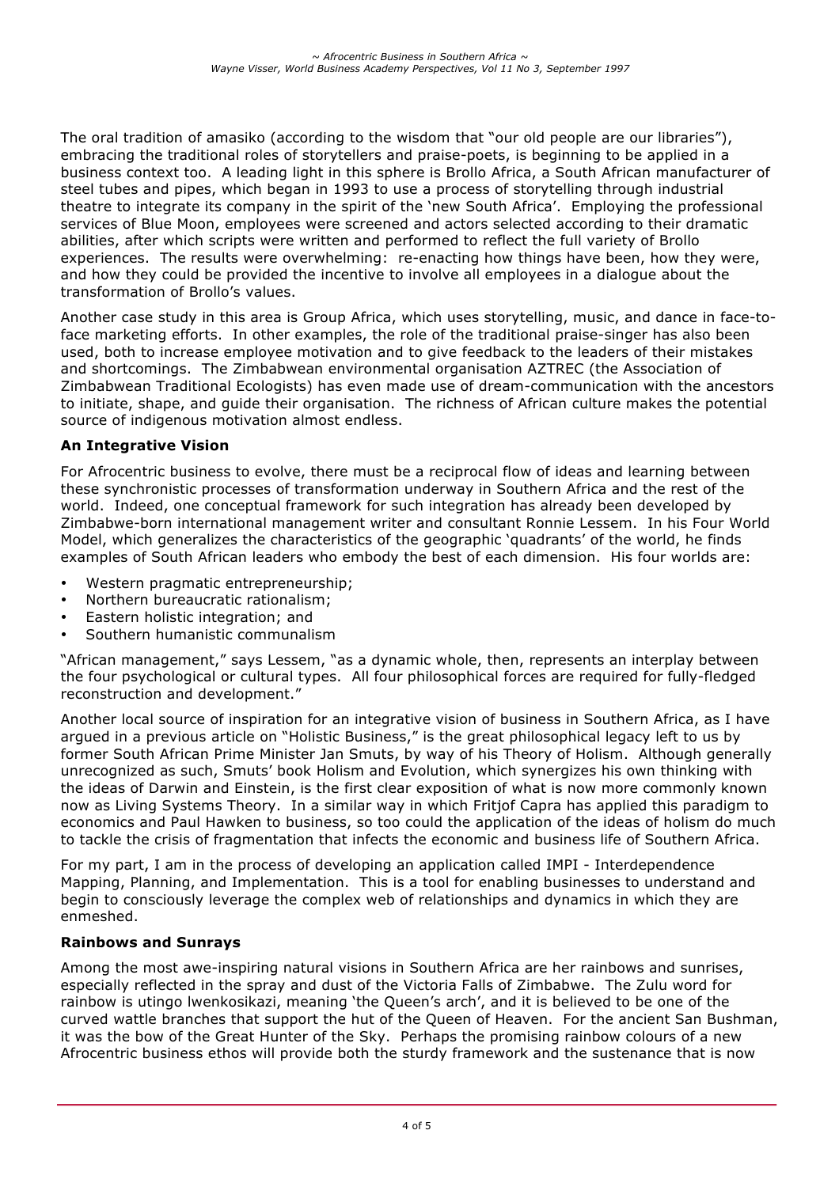The oral tradition of amasiko (according to the wisdom that "our old people are our libraries"), embracing the traditional roles of storytellers and praise-poets, is beginning to be applied in a business context too. A leading light in this sphere is Brollo Africa, a South African manufacturer of steel tubes and pipes, which began in 1993 to use a process of storytelling through industrial theatre to integrate its company in the spirit of the 'new South Africa'. Employing the professional services of Blue Moon, employees were screened and actors selected according to their dramatic abilities, after which scripts were written and performed to reflect the full variety of Brollo experiences. The results were overwhelming: re-enacting how things have been, how they were, and how they could be provided the incentive to involve all employees in a dialogue about the transformation of Brollo's values.

Another case study in this area is Group Africa, which uses storytelling, music, and dance in face-toface marketing efforts. In other examples, the role of the traditional praise-singer has also been used, both to increase employee motivation and to give feedback to the leaders of their mistakes and shortcomings. The Zimbabwean environmental organisation AZTREC (the Association of Zimbabwean Traditional Ecologists) has even made use of dream-communication with the ancestors to initiate, shape, and guide their organisation. The richness of African culture makes the potential source of indigenous motivation almost endless.

## **An Integrative Vision**

For Afrocentric business to evolve, there must be a reciprocal flow of ideas and learning between these synchronistic processes of transformation underway in Southern Africa and the rest of the world. Indeed, one conceptual framework for such integration has already been developed by Zimbabwe-born international management writer and consultant Ronnie Lessem. In his Four World Model, which generalizes the characteristics of the geographic 'quadrants' of the world, he finds examples of South African leaders who embody the best of each dimension. His four worlds are:

- Western pragmatic entrepreneurship;
- Northern bureaucratic rationalism;
- Eastern holistic integration; and
- Southern humanistic communalism

"African management," says Lessem, "as a dynamic whole, then, represents an interplay between the four psychological or cultural types. All four philosophical forces are required for fully-fledged reconstruction and development."

Another local source of inspiration for an integrative vision of business in Southern Africa, as I have argued in a previous article on "Holistic Business," is the great philosophical legacy left to us by former South African Prime Minister Jan Smuts, by way of his Theory of Holism. Although generally unrecognized as such, Smuts' book Holism and Evolution, which synergizes his own thinking with the ideas of Darwin and Einstein, is the first clear exposition of what is now more commonly known now as Living Systems Theory. In a similar way in which Fritjof Capra has applied this paradigm to economics and Paul Hawken to business, so too could the application of the ideas of holism do much to tackle the crisis of fragmentation that infects the economic and business life of Southern Africa.

For my part, I am in the process of developing an application called IMPI - Interdependence Mapping, Planning, and Implementation. This is a tool for enabling businesses to understand and begin to consciously leverage the complex web of relationships and dynamics in which they are enmeshed.

## **Rainbows and Sunrays**

Among the most awe-inspiring natural visions in Southern Africa are her rainbows and sunrises, especially reflected in the spray and dust of the Victoria Falls of Zimbabwe. The Zulu word for rainbow is utingo lwenkosikazi, meaning 'the Queen's arch', and it is believed to be one of the curved wattle branches that support the hut of the Queen of Heaven. For the ancient San Bushman, it was the bow of the Great Hunter of the Sky. Perhaps the promising rainbow colours of a new Afrocentric business ethos will provide both the sturdy framework and the sustenance that is now